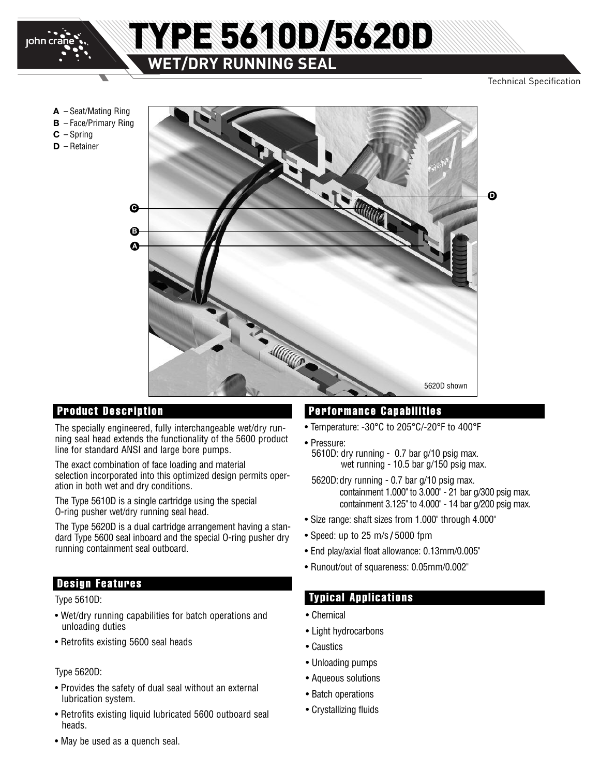

**C** – Spring **D** – Retainer

## TYPE 5610D/5620D **WET/DRY RUNNING SEAL**

#### Technical Specification



The specially engineered, fully interchangeable wet/dry running seal head extends the functionality of the 5600 product line for standard ANSI and large bore pumps.

The exact combination of face loading and material selection incorporated into this optimized design permits operation in both wet and dry conditions.

The Type 5610D is a single cartridge using the special O-ring pusher wet/dry running seal head.

The Type 5620D is a dual cartridge arrangement having a standard Type 5600 seal inboard and the special O-ring pusher dry running containment seal outboard.

#### **Design Features**

- Wet/dry running capabilities for batch operations and unloading duties
- Retrofits existing 5600 seal heads

#### Type 5620D:

- Provides the safety of dual seal without an external lubrication system.
- Retrofits existing liquid lubricated 5600 outboard seal heads.

#### **Product Description Performance Capabilities**

- Temperature: -30°C to 205°C/-20°F to 400°F
- Pressure:
- 5610D: dry running 0.7 bar g/10 psig max. wet running - 10.5 bar g/150 psig max.
- 5620D:dry running 0.7 bar g/10 psig max. containment 1.000" to 3.000" - 21 bar g/300 psig max. containment 3.125" to 4.000" - 14 bar g/200 psig max.
- Size range: shaft sizes from 1.000" through 4.000"
- Speed: up to 25 m/s **/** 5000 fpm
- End play/axial float allowance: 0.13mm/0.005"
- Runout/out of squareness: 0.05mm/0.002"

#### Type 5610D: **Typical Applications**

- Chemical
- Light hydrocarbons
- Caustics
- Unloading pumps
- Aqueous solutions
- Batch operations
- Crystallizing fluids

• May be used as a quench seal.